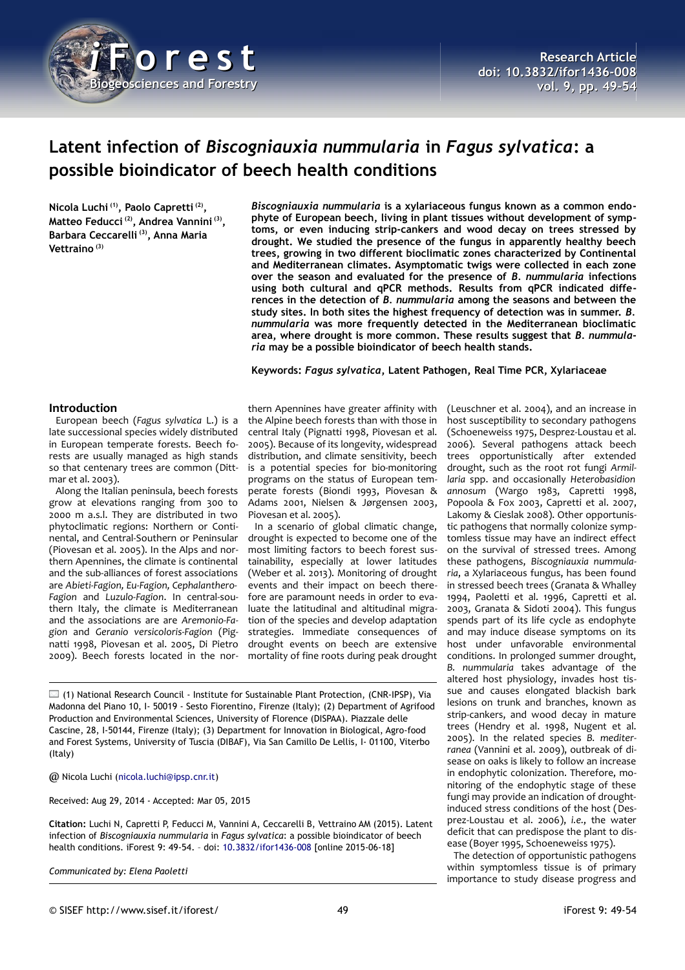

# **Latent infection of** *Biscogniauxia nummularia* **in** *Fagus sylvatica***: a possible bioindicator of beech health conditions**

**Nicola Luchi (1), Paolo Capretti (2) , Matteo Feducci (2), Andrea Vannini (3) , Barbara Ceccarelli (3), Anna Maria Vettraino (3)**

*Biscogniauxia nummularia* **is a xylariaceous fungus known as a common endophyte of European beech, living in plant tissues without development of symptoms, or even inducing strip-cankers and wood decay on trees stressed by drought. We studied the presence of the fungus in apparently healthy beech trees, growing in two different bioclimatic zones characterized by Continental and Mediterranean climates. Asymptomatic twigs were collected in each zone over the season and evaluated for the presence of** *B. nummularia* **infections using both cultural and qPCR methods. Results from qPCR indicated differences in the detection of** *B. nummularia* **among the seasons and between the study sites. In both sites the highest frequency of detection was in summer.** *B. nummularia* **was more frequently detected in the Mediterranean bioclimatic area, where drought is more common. These results suggest that** *B. nummularia* **may be a possible bioindicator of beech health stands.**

**Keywords:** *Fagus sylvatica***, Latent Pathogen, Real Time PCR, Xylariaceae**

## **Introduction**

European beech (*Fagus sylvatica* L.) is a late successional species widely distributed in European temperate forests. Beech forests are usually managed as high stands so that centenary trees are common (Dittmar et al. 2003).

Along the Italian peninsula, beech forests grow at elevations ranging from 300 to 2000 m a.s.l. They are distributed in two phytoclimatic regions: Northern or Continental, and Central-Southern or Peninsular (Piovesan et al. 2005). In the Alps and northern Apennines, the climate is continental and the sub-alliances of forest associations are *Abieti-Fagion, Eu-Fagion, Cephalanthero-Fagion* and *Luzulo-Fagion*. In central-southern Italy, the climate is Mediterranean and the associations are are *Aremonio-Fagion* and *Geranio versicoloris-Fagion* (Pignatti 1998, Piovesan et al. 2005, Di Pietro 2009). Beech forests located in the nor-

thern Apennines have greater affinity with the Alpine beech forests than with those in central Italy (Pignatti 1998, Piovesan et al. 2005). Because of its longevity, widespread distribution, and climate sensitivity, beech is a potential species for bio-monitoring programs on the status of European temperate forests (Biondi 1993, Piovesan & Adams 2001, Nielsen & Jørgensen 2003, Piovesan et al. 2005).

drought is expected to become one of the most limiting factors to beech forest sustainability, especially at lower latitudes (Weber et al. 2013). Monitoring of drought events and their impact on beech therefore are paramount needs in order to evaluate the latitudinal and altitudinal migration of the species and develop adaptation strategies. Immediate consequences of drought events on beech are extensive mortality of fine roots during peak drought

(1) National Research Council - Institute for Sustainable Plant Protection, (CNR-IPSP), Via Madonna del Piano 10, I- 50019 - Sesto Fiorentino, Firenze (Italy); (2) Department of Agrifood Production and Environmental Sciences, University of Florence (DISPAA). Piazzale delle Cascine, 28, I-50144, Firenze (Italy); (3) Department for Innovation in Biological, Agro-food and Forest Systems, University of Tuscia (DIBAF), Via San Camillo De Lellis, I- 01100, Viterbo (Italy)

@ Nicola Luchi [\(nicola.luchi@ipsp.cnr.it\)](mailto:nicola.luchi@ipsp.cnr.it)

Received: Aug 29, 2014 - Accepted: Mar 05, 2015

**Citation:** Luchi N, Capretti P, Feducci M, Vannini A, Ceccarelli B, Vettraino AM (2015). Latent infection of *Biscogniauxia nummularia* in *Fagus sylvatica*: a possible bioindicator of beech health conditions. iForest 9: 49-54. – doi: [10.3832/ifor1436-008](http://www.sisef.it/iforest/contents/?id=ifor1436-008) [online 2015-06-18]

*Communicated by: Elena Paoletti*

In a scenario of global climatic change, (Leuschner et al. 2004), and an increase in host susceptibility to secondary pathogens (Schoeneweiss 1975, Desprez-Loustau et al. 2006). Several pathogens attack beech trees opportunistically after extended drought, such as the root rot fungi *Armil-*

*laria* spp. and occasionally *Heterobasidion annosum* (Wargo 1983, Capretti 1998, Popoola & Fox 2003, Capretti et al. 2007, Lakomy & Cieslak 2008). Other opportunistic pathogens that normally colonize symptomless tissue may have an indirect effect on the survival of stressed trees. Among these pathogens, *Biscogniauxia nummularia*, a Xylariaceous fungus, has been found in stressed beech trees (Granata & Whalley 1994, Paoletti et al. 1996, Capretti et al. 2003, Granata & Sidoti 2004). This fungus spends part of its life cycle as endophyte and may induce disease symptoms on its host under unfavorable environmental conditions. In prolonged summer drought, *B. nummularia* takes advantage of the altered host physiology, invades host tissue and causes elongated blackish bark lesions on trunk and branches, known as strip-cankers, and wood decay in mature trees (Hendry et al. 1998, Nugent et al. 2005). In the related species *B. mediterranea* (Vannini et al. 2009), outbreak of disease on oaks is likely to follow an increase in endophytic colonization. Therefore, monitoring of the endophytic stage of these fungi may provide an indication of droughtinduced stress conditions of the host (Desprez-Loustau et al. 2006), *i.e.*, the water deficit that can predispose the plant to disease (Boyer 1995, Schoeneweiss 1975).

The detection of opportunistic pathogens within symptomless tissue is of primary importance to study disease progress and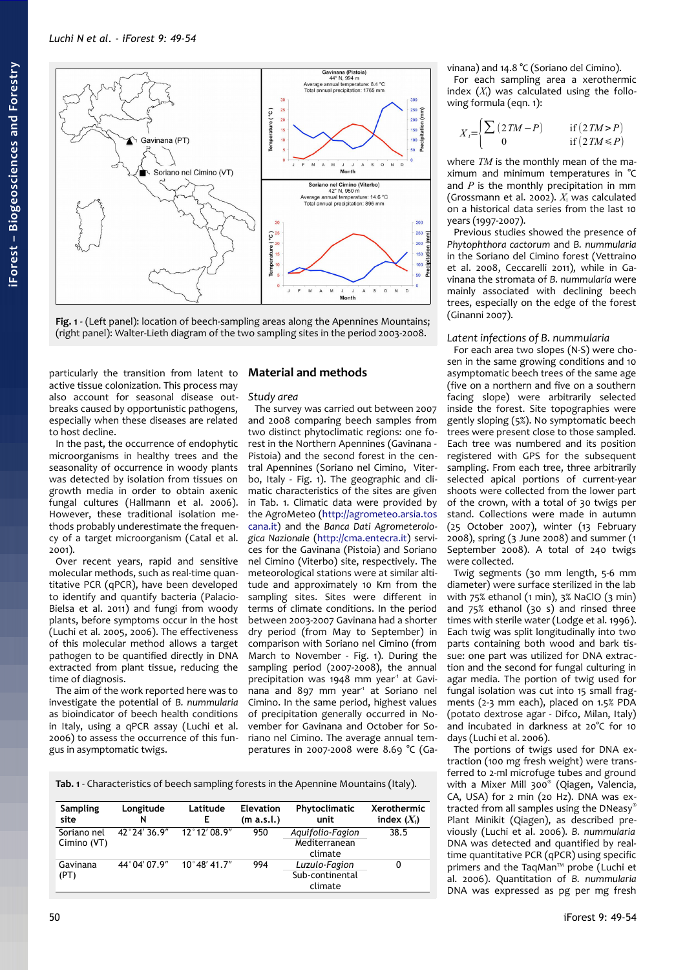

<span id="page-1-0"></span>

particularly the transition from latent to active tissue colonization. This process may also account for seasonal disease outbreaks caused by opportunistic pathogens, especially when these diseases are related to host decline.

In the past, the occurrence of endophytic microorganisms in healthy trees and the seasonality of occurrence in woody plants was detected by isolation from tissues on growth media in order to obtain axenic fungal cultures (Hallmann et al. 2006). However, these traditional isolation methods probably underestimate the frequency of a target microorganism (Catal et al. 2001).

Over recent years, rapid and sensitive molecular methods, such as real-time quantitative PCR (qPCR), have been developed to identify and quantify bacteria (Palacio-Bielsa et al. 2011) and fungi from woody plants, before symptoms occur in the host (Luchi et al. 2005, 2006). The effectiveness of this molecular method allows a target pathogen to be quantified directly in DNA extracted from plant tissue, reducing the time of diagnosis.

The aim of the work reported here was to investigate the potential of *B. nummularia* as bioindicator of beech health conditions in Italy, using a qPCR assay (Luchi et al. 2006) to assess the occurrence of this fungus in asymptomatic twigs.

## **Material and methods**

*Study area*

The survey was carried out between 2007 and 2008 comparing beech samples from two distinct phytoclimatic regions: one forest in the Northern Apennines (Gavinana - Pistoia) and the second forest in the central Apennines (Soriano nel Cimino, Viterbo, Italy - [Fig. 1\)](#page-1-0). The geographic and climatic characteristics of the sites are given in [Tab. 1.](#page-1-1) Climatic data were provided by the AgroMeteo [\(http://agrometeo.arsia.tos](http://agrometeo.arsia.toscana.it/) [cana.it\)](http://agrometeo.arsia.toscana.it/) and the *Banca Dati Agrometerologica Nazionale* [\(http://cma.entecra.it\)](http://cma.entecra.it/) services for the Gavinana (Pistoia) and Soriano nel Cimino (Viterbo) site, respectively. The meteorological stations were at similar altitude and approximately 10 Km from the sampling sites. Sites were different in terms of climate conditions. In the period between 2003-2007 Gavinana had a shorter dry period (from May to September) in comparison with Soriano nel Cimino (from March to November - [Fig. 1\)](#page-1-0). During the sampling period (2007-2008), the annual precipitation was 1948 mm year<sup>1</sup> at Gavinana and 897 mm year<sup>1</sup> at Soriano nel Cimino. In the same period, highest values of precipitation generally occurred in November for Gavinana and October for Soriano nel Cimino. The average annual temperatures in 2007-2008 were 8.69 °C (Ga-

<span id="page-1-1"></span>**Tab. 1** - Characteristics of beech sampling forests in the Apennine Mountains (Italy).

| Sampling<br>site           | Longitude<br>N         | Latitude<br>Е         | <b>Elevation</b><br>(m a.s.l.) | Phytoclimatic<br>unit                        | Xerothermic<br>index $(X_i)$ |
|----------------------------|------------------------|-----------------------|--------------------------------|----------------------------------------------|------------------------------|
| Soriano nel<br>Cimino (VT) | $42^{\circ}$ 24' 36.9" | 12°12'08.9"           | 950                            | Aquifolio-Fagion<br>Mediterranean<br>climate | 38.5                         |
| Gavinana<br>(PT)           | 44° 04′ 07.9″          | $10^{\circ}48'$ 41.7" | 994                            | Luzulo-Fagion<br>Sub-continental<br>climate  | 0                            |

vinana) and 14.8 °C (Soriano del Cimino). For each sampling area a xerothermic

index  $(X_i)$  was calculated using the following formula (eqn. 1):

$$
X_i = \begin{cases} \sum (2TM - P) & \text{if } (2TM > P) \\ 0 & \text{if } (2TM \le P) \end{cases}
$$

where *TM* is the monthly mean of the maximum and minimum temperatures in °C and *P* is the monthly precipitation in mm (Grossmann et al. 2002). *X*<sup>i</sup> was calculated on a historical data series from the last 10 years (1997-2007).

Previous studies showed the presence of *Phytophthora cactorum* and *B. nummularia* in the Soriano del Cimino forest (Vettraino et al. 2008, Ceccarelli 2011), while in Gavinana the stromata of *B. nummularia* were mainly associated with declining beech trees, especially on the edge of the forest (Ginanni 2007).

## *Latent infections of B. nummularia*

For each area two slopes (N-S) were chosen in the same growing conditions and 10 asymptomatic beech trees of the same age (five on a northern and five on a southern facing slope) were arbitrarily selected inside the forest. Site topographies were gently sloping (5%). No symptomatic beech trees were present close to those sampled. Each tree was numbered and its position registered with GPS for the subsequent sampling. From each tree, three arbitrarily selected apical portions of current-year shoots were collected from the lower part of the crown, with a total of 30 twigs per stand. Collections were made in autumn (25 October 2007), winter (13 February 2008), spring (3 June 2008) and summer (1 September 2008). A total of 240 twigs were collected.

Twig segments (30 mm length, 5-6 mm diameter) were surface sterilized in the lab with 75% ethanol (1 min), 3% NaClO (3 min) and 75% ethanol (30 s) and rinsed three times with sterile water (Lodge et al. 1996). Each twig was split longitudinally into two parts containing both wood and bark tissue: one part was utilized for DNA extraction and the second for fungal culturing in agar media. The portion of twig used for fungal isolation was cut into 15 small fragments (2-3 mm each), placed on 1.5% PDA (potato dextrose agar - Difco, Milan, Italy) and incubated in darkness at 20°C for 10 days (Luchi et al. 2006).

The portions of twigs used for DNA extraction (100 mg fresh weight) were transferred to 2-ml microfuge tubes and ground with a Mixer Mill 300® (Qiagen, Valencia, CA, USA) for 2 min (20 Hz). DNA was extracted from all samples using the DNeasy® Plant Minikit (Qiagen), as described previously (Luchi et al. 2006). *B. nummularia* DNA was detected and quantified by realtime quantitative PCR (qPCR) using specific primers and the TaqMan™ probe (Luchi et al. 2006). Quantitation of *B. nummularia* DNA was expressed as pg per mg fresh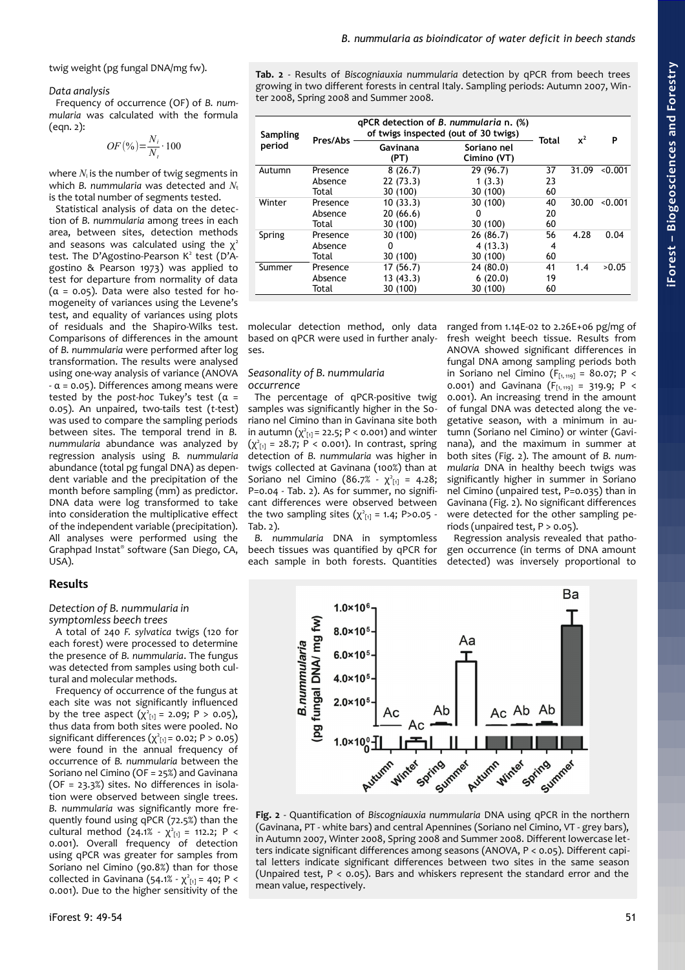twig weight (pg fungal DNA/mg fw).

#### *Data analysis*

Frequency of occurrence (OF) of *B. nummularia* was calculated with the formula (eqn. 2):

$$
OF\left(\frac{9}{6}\right) = \frac{N_i}{N_i} \cdot 100
$$

where  $N_i$  is the number of twig segments in which *B. nummularia* was detected and  $N_t$ is the total number of segments tested.

Statistical analysis of data on the detection of *B. nummularia* among trees in each area, between sites, detection methods and seasons was calculated using the  $\chi^2$ test. The D'Agostino-Pearson  $K^2$  test (D'Agostino & Pearson 1973) was applied to test for departure from normality of data  $(\alpha = 0.05)$ . Data were also tested for homogeneity of variances using the Levene's test, and equality of variances using plots of residuals and the Shapiro-Wilks test. Comparisons of differences in the amount of *B. nummularia* were performed after log transformation. The results were analysed using one-way analysis of variance (ANOVA  $-\alpha$  = 0.05). Differences among means were tested by the *post-hoc* Tukey's test (α = 0.05). An unpaired, two-tails test (*t*-test) was used to compare the sampling periods between sites. The temporal trend in *B. nummularia* abundance was analyzed by regression analysis using *B. nummularia* abundance (total pg fungal DNA) as dependent variable and the precipitation of the month before sampling (mm) as predictor. DNA data were log transformed to take into consideration the multiplicative effect of the independent variable (precipitation). All analyses were performed using the Graphpad Instat® software (San Diego, CA, USA).

## **Results**

#### *Detection of B. nummularia in symptomless beech trees*

A total of 240 *F. sylvatica* twigs (120 for each forest) were processed to determine the presence of *B. nummularia*. The fungus was detected from samples using both cultural and molecular methods.

Frequency of occurrence of the fungus at each site was not significantly influenced by the tree aspect  $(\chi^2_{[1]} = 2.09; P > 0.05)$ , thus data from both sites were pooled. No significant differences  $(\chi^2_{[1]} = 0.02; P > 0.05)$ were found in the annual frequency of occurrence of *B. nummularia* between the Soriano nel Cimino (OF = 25%) and Gavinana (OF = 23.3%) sites. No differences in isolation were observed between single trees. *B. nummularia* was significantly more frequently found using qPCR (72.5%) than the cultural method  $(24.1\% - \chi^2_{11}] = 112.2$ ; P < 0.001). Overall frequency of detection using qPCR was greater for samples from Soriano nel Cimino (90.8%) than for those collected in Gavinana  $(54.1\% \cdot \chi^2_{[1]} = 40; P <$ 0.001). Due to the higher sensitivity of the <span id="page-2-1"></span>**Tab. 2** - Results of *Biscogniauxia nummularia* detection by qPCR from beech trees growing in two different forests in central Italy. Sampling periods: Autumn 2007, Winter 2008, Spring 2008 and Summer 2008.

*B. nummularia as bioindicator of water deficit in beech stands*

| Sampling<br>period | Pres/Abs | qPCR detection of B. nummularia n. (%)<br>of twigs inspected (out of 30 twigs) |                            |              | $x^2$ | P       |
|--------------------|----------|--------------------------------------------------------------------------------|----------------------------|--------------|-------|---------|
|                    |          | Gavinana<br>(PT)                                                               | Soriano nel<br>Cimino (VT) | <b>Total</b> |       |         |
| Autumn             | Presence | 8(26.7)                                                                        | 29 (96.7)                  | 37           | 31.09 | < 0.001 |
|                    | Absence  | 22(73.3)                                                                       | 1(3.3)                     | 23           |       |         |
|                    | Total    | 30 (100)                                                                       | 30 (100)                   | 60           |       |         |
| Winter             | Presence | 10(33.3)                                                                       | 30 (100)                   | 40           | 30.00 | < 0.001 |
|                    | Absence  | 20(66.6)                                                                       | 0                          | 20           |       |         |
|                    | Total    | 30 (100)                                                                       | 30 (100)                   | 60           |       |         |
| Spring             | Presence | 30 (100)                                                                       | 26 (86.7)                  | 56           | 4.28  | 0.04    |
|                    | Absence  | 0                                                                              | 4(13.3)                    | 4            |       |         |
|                    | Total    | 30 (100)                                                                       | 30 (100)                   | 60           |       |         |
| Summer             | Presence | 17 (56.7)                                                                      | 24(80.0)                   | 41           | 1.4   | >0.05   |
|                    | Absence  | 13(43.3)                                                                       | 6(20.0)                    | 19           |       |         |
|                    | Total    | 30 (100)                                                                       | 30 (100)                   | 60           |       |         |

molecular detection method, only data based on qPCR were used in further analyses.

#### *Seasonality of B. nummularia occurrence*

The percentage of qPCR-positive twig samples was significantly higher in the Soriano nel Cimino than in Gavinana site both in autumn  $(\chi^2_{[1]} = 22.5; P < 0.001)$  and winter  $(\chi^2_{[1]} = 28.7; P < 0.001)$ . In contrast, spring detection of *B. nummularia* was higher in twigs collected at Gavinana (100%) than at Soriano nel Cimino (86.7% -  $\chi^2_{[1]}$  = 4.28; P=0.04 - [Tab. 2\)](#page-2-1). As for summer, no significant differences were observed between the two sampling sites  $(\chi^2_{[1]} = 1.4; P > 0.05 - 1)$ [Tab. 2\)](#page-2-1).

*B. nummularia* DNA in symptomless beech tissues was quantified by qPCR for each sample in both forests. Quantities ranged from 1.14E-02 to 2.26E+06 pg/mg of fresh weight beech tissue. Results from ANOVA showed significant differences in fungal DNA among sampling periods both in Soriano nel Cimino ( $F_{[1, 119]} = 80.07$ ; P < 0.001) and Gavinana  $(F_{[1, 119]} = 319.9; P <$ 0.001). An increasing trend in the amount of fungal DNA was detected along the vegetative season, with a minimum in autumn (Soriano nel Cimino) or winter (Gavinana), and the maximum in summer at both sites [\(Fig. 2\)](#page-2-0). The amount of *B. nummularia* DNA in healthy beech twigs was significantly higher in summer in Soriano nel Cimino (unpaired test, P=0.035) than in Gavinana [\(Fig. 2\)](#page-2-0). No significant differences were detected for the other sampling periods (unpaired test, P > 0.05).

Regression analysis revealed that pathogen occurrence (in terms of DNA amount detected) was inversely proportional to



<span id="page-2-0"></span>**Fig. 2** - Quantification of *Biscogniauxia nummularia* DNA using qPCR in the northern (Gavinana, PT - white bars) and central Apennines (Soriano nel Cimino, VT - grey bars), in Autumn 2007, Winter 2008, Spring 2008 and Summer 2008. Different lowercase letters indicate significant differences among seasons (ANOVA, P < 0.05). Different capital letters indicate significant differences between two sites in the same season (Unpaired test, P < 0.05). Bars and whiskers represent the standard error and the mean value, respectively.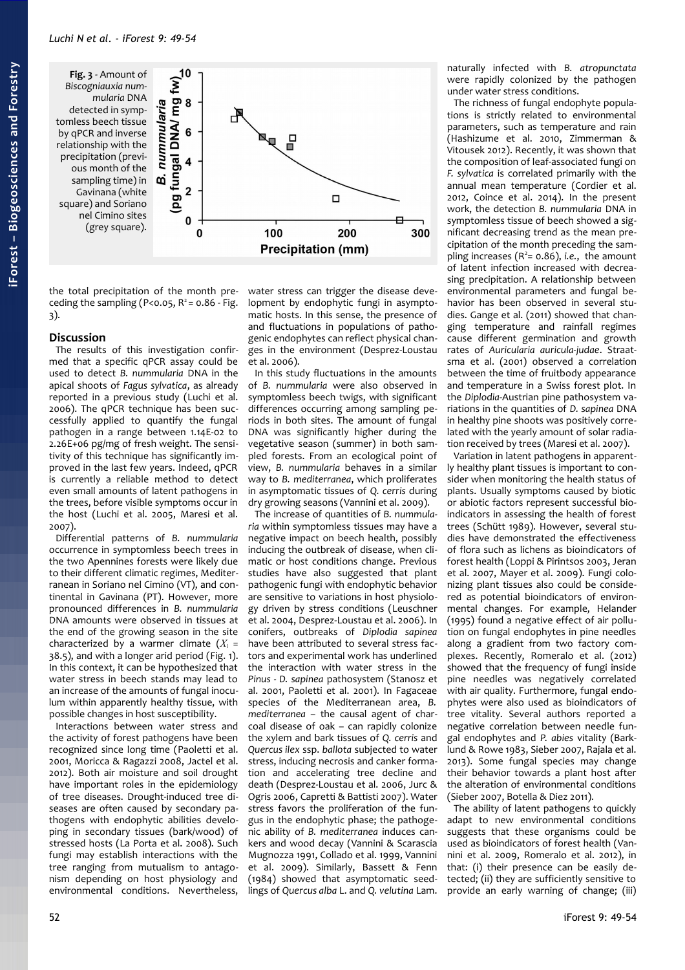<span id="page-3-0"></span>

the total precipitation of the month preceding the sampling (P<0.05,  $R^2$  = 0.86 - [Fig.](#page-3-0) [3\)](#page-3-0).

## **Discussion**

The results of this investigation confirmed that a specific qPCR assay could be used to detect *B. nummularia* DNA in the apical shoots of *Fagus sylvatica*, as already reported in a previous study (Luchi et al. 2006). The qPCR technique has been successfully applied to quantify the fungal pathogen in a range between 1.14E-02 to 2.26E+06 pg/mg of fresh weight. The sensitivity of this technique has significantly improved in the last few years. Indeed, qPCR is currently a reliable method to detect even small amounts of latent pathogens in the trees, before visible symptoms occur in the host (Luchi et al. 2005, Maresi et al. 2007).

Differential patterns of *B. nummularia* occurrence in symptomless beech trees in the two Apennines forests were likely due to their different climatic regimes, Mediterranean in Soriano nel Cimino (VT), and continental in Gavinana (PT). However, more pronounced differences in *B. nummularia* DNA amounts were observed in tissues at the end of the growing season in the site characterized by a warmer climate  $(X_i =$ 38.5), and with a longer arid period [\(Fig. 1\)](#page-1-0). In this context, it can be hypothesized that water stress in beech stands may lead to an increase of the amounts of fungal inoculum within apparently healthy tissue, with possible changes in host susceptibility.

Interactions between water stress and the activity of forest pathogens have been recognized since long time (Paoletti et al. 2001, Moricca & Ragazzi 2008, Jactel et al. 2012). Both air moisture and soil drought have important roles in the epidemiology of tree diseases. Drought-induced tree diseases are often caused by secondary pathogens with endophytic abilities developing in secondary tissues (bark/wood) of stressed hosts (La Porta et al. 2008). Such fungi may establish interactions with the tree ranging from mutualism to antagonism depending on host physiology and environmental conditions. Nevertheless,

water stress can trigger the disease development by endophytic fungi in asymptomatic hosts. In this sense, the presence of and fluctuations in populations of pathogenic endophytes can reflect physical changes in the environment (Desprez-Loustau et al. 2006).

In this study fluctuations in the amounts of *B. nummularia* were also observed in symptomless beech twigs, with significant differences occurring among sampling periods in both sites. The amount of fungal DNA was significantly higher during the vegetative season (summer) in both sampled forests. From an ecological point of view, *B. nummularia* behaves in a similar way to *B. mediterranea*, which proliferates in asymptomatic tissues of *Q. cerris* during dry growing seasons (Vannini et al. 2009).

The increase of quantities of *B. nummularia* within symptomless tissues may have a negative impact on beech health, possibly inducing the outbreak of disease, when climatic or host conditions change. Previous studies have also suggested that plant pathogenic fungi with endophytic behavior are sensitive to variations in host physiology driven by stress conditions (Leuschner et al. 2004, Desprez-Loustau et al. 2006). In conifers, outbreaks of *Diplodia sapinea* have been attributed to several stress factors and experimental work has underlined the interaction with water stress in the *Pinus - D. sapinea* pathosystem (Stanosz et al. 2001, Paoletti et al. 2001). In Fagaceae species of the Mediterranean area, *B. mediterranea –* the causal agent of charcoal disease of oak – can rapidly colonize the xylem and bark tissues of *Q. cerris* and *Quercus ilex* ssp. *ballota* subjected to water stress, inducing necrosis and canker formation and accelerating tree decline and death (Desprez-Loustau et al. 2006, Jurc & Ogris 2006, Capretti & Battisti 2007). Water stress favors the proliferation of the fungus in the endophytic phase; the pathogenic ability of *B. mediterranea* induces cankers and wood decay (Vannini & Scarascia Mugnozza 1991, Collado et al. 1999, Vannini et al. 2009). Similarly, Bassett & Fenn (1984) showed that asymptomatic seedlings of *Quercus alba* L. and *Q. velutina* Lam. naturally infected with *B. atropunctata* were rapidly colonized by the pathogen under water stress conditions.

The richness of fungal endophyte populations is strictly related to environmental parameters, such as temperature and rain (Hashizume et al. 2010, Zimmerman & Vitousek 2012). Recently, it was shown that the composition of leaf-associated fungi on *F. sylvatica* is correlated primarily with the annual mean temperature (Cordier et al. 2012, Coince et al. 2014). In the present work, the detection *B. nummularia* DNA in symptomless tissue of beech showed a significant decreasing trend as the mean precipitation of the month preceding the sampling increases  $(R^2 = 0.86)$ , *i.e.*, the amount of latent infection increased with decreasing precipitation. A relationship between environmental parameters and fungal behavior has been observed in several studies. Gange et al. (2011) showed that changing temperature and rainfall regimes cause different germination and growth rates of *Auricularia auricula-judae*. Straatsma et al. (2001) observed a correlation between the time of fruitbody appearance and temperature in a Swiss forest plot. In the *Diplodia*-Austrian pine pathosystem variations in the quantities of *D. sapinea* DNA in healthy pine shoots was positively correlated with the yearly amount of solar radiation received by trees (Maresi et al. 2007).

Variation in latent pathogens in apparently healthy plant tissues is important to consider when monitoring the health status of plants. Usually symptoms caused by biotic or abiotic factors represent successful bioindicators in assessing the health of forest trees (Schütt 1989). However, several studies have demonstrated the effectiveness of flora such as lichens as bioindicators of forest health (Loppi & Pirintsos 2003, Jeran et al. 2007, Mayer et al. 2009). Fungi colonizing plant tissues also could be considered as potential bioindicators of environmental changes. For example, Helander (1995) found a negative effect of air pollution on fungal endophytes in pine needles along a gradient from two factory complexes. Recently, Romeralo et al. (2012) .<br>showed that the frequency of fungi inside pine needles was negatively correlated with air quality. Furthermore, fungal endophytes were also used as bioindicators of tree vitality. Several authors reported a negative correlation between needle fungal endophytes and *P. abies* vitality (Barklund & Rowe 1983, Sieber 2007, Rajala et al. 2013). Some fungal species may change their behavior towards a plant host after the alteration of environmental conditions (Sieber 2007, Botella & Diez 2011).

The ability of latent pathogens to quickly adapt to new environmental conditions suggests that these organisms could be used as bioindicators of forest health (Vannini et al. 2009, Romeralo et al. 2012), in that: (i) their presence can be easily detected; (ii) they are sufficiently sensitive to provide an early warning of change; (iii)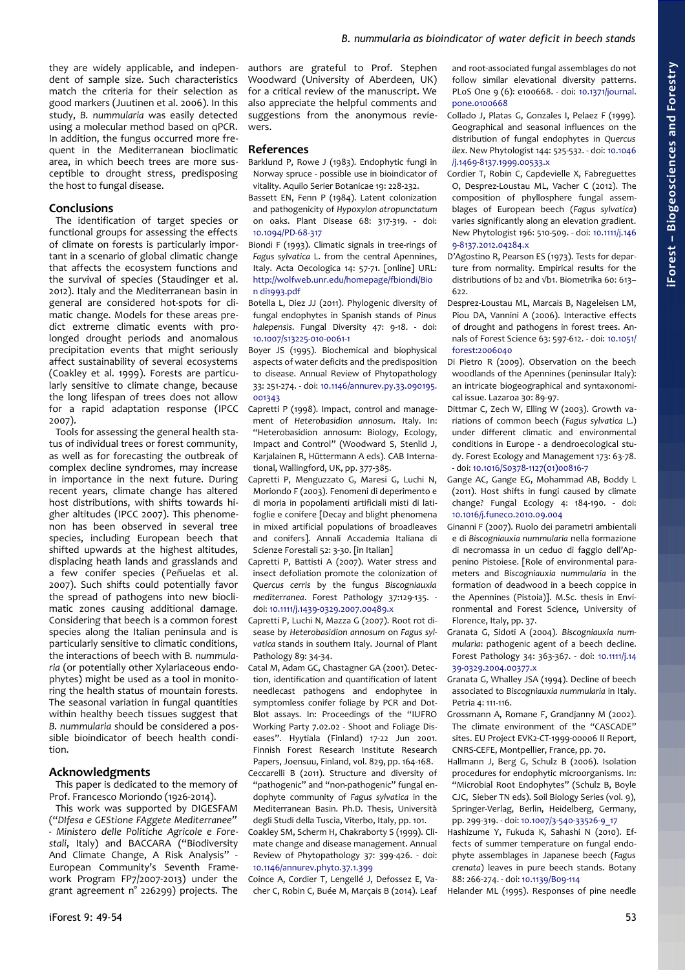they are widely applicable, and independent of sample size. Such characteristics match the criteria for their selection as good markers (Juutinen et al. 2006). In this study, *B. nummularia* was easily detected using a molecular method based on qPCR. In addition, the fungus occurred more frequent in the Mediterranean bioclimatic area, in which beech trees are more susceptible to drought stress, predisposing the host to fungal disease.

#### **Conclusions**

The identification of target species or functional groups for assessing the effects of climate on forests is particularly important in a scenario of global climatic change that affects the ecosystem functions and the survival of species (Staudinger et al. 2012). Italy and the Mediterranean basin in general are considered hot-spots for climatic change. Models for these areas predict extreme climatic events with prolonged drought periods and anomalous precipitation events that might seriously affect sustainability of several ecosystems (Coakley et al. 1999). Forests are particularly sensitive to climate change, because the long lifespan of trees does not allow for a rapid adaptation response (IPCC 2007).

Tools for assessing the general health status of individual trees or forest community, as well as for forecasting the outbreak of complex decline syndromes, may increase in importance in the next future. During recent years, climate change has altered host distributions, with shifts towards higher altitudes (IPCC 2007). This phenomenon has been observed in several tree species, including European beech that shifted upwards at the highest altitudes, displacing heath lands and grasslands and a few conifer species (Peñuelas et al. 2007). Such shifts could potentially favor the spread of pathogens into new bioclimatic zones causing additional damage. Considering that beech is a common forest species along the Italian peninsula and is particularly sensitive to climatic conditions, the interactions of beech with *B. nummularia* (or potentially other Xylariaceous endophytes) might be used as a tool in monitoring the health status of mountain forests. The seasonal variation in fungal quantities within healthy beech tissues suggest that *B. nummularia* should be considered a possible bioindicator of beech health condition.

#### **Acknowledgments**

This paper is dedicated to the memory of Prof. Francesco Moriondo (1926-2014).

This work was supported by DIGESFAM ("*DIfesa e GEStione FAggete Mediterranee" - Ministero delle Politiche Agricole e Forestali*, Italy) and BACCARA ("Biodiversity And Climate Change, A Risk Analysis" - European Community's Seventh Framework Program FP7/2007-2013) under the grant agreement n° 226299) projects. The

authors are grateful to Prof. Stephen Woodward (University of Aberdeen, UK) for a critical review of the manuscript. We also appreciate the helpful comments and suggestions from the anonymous reviewers.

### **References**

- Barklund P, Rowe J (1983). Endophytic fungi in Norway spruce - possible use in bioindicator of vitality. Aquilo Serier Botanicae 19: 228-232.
- Bassett EN, Fenn P (1984). Latent colonization and pathogenicity of *Hypoxylon atropunctatum* on oaks. Plant Disease 68: 317-319. - doi: [10.1094/PD-68-317](http://dx.doi.org/10.1094/PD-68-317)
- Biondi F (1993). Climatic signals in tree-rings of *Fagus sylvatica* L. from the central Apennines, Italy. Acta Oecologica 14: 57-71. [online] URL: [http://wolfweb.unr.edu/homepage/fbiondi/Bio](http://wolfweb.unr.edu/homepage/fbiondi/Biondi1993.pdf) [n di1993.pdf](http://wolfweb.unr.edu/homepage/fbiondi/Biondi1993.pdf)
- Botella L, Diez JJ (2011). Phylogenic diversity of fungal endophytes in Spanish stands of *Pinus halepensis*. Fungal Diversity 47: 9-18. - doi: [10.1007/s13225-010-0061-1](http://dx.doi.org/10.1007/s13225-010-0061-1)
- Boyer JS (1995). Biochemical and biophysical aspects of water deficits and the predisposition to disease. Annual Review of Phytopathology 33: 251-274. - doi: [10.1146/annurev.py.33.090195.](http://dx.doi.org/10.1146/annurev.py.33.090195.001343) [001343](http://dx.doi.org/10.1146/annurev.py.33.090195.001343)
- Capretti P (1998). Impact, control and management of *Heterobasidion annosum*. Italy. In: "Heterobasidion annosum: Biology, Ecology, Impact and Control" (Woodward S, Stenlid J, Karjalainen R, Hüttermann A eds). CAB International, Wallingford, UK, pp. 377-385.
- Capretti P, Menguzzato G, Maresi G, Luchi N, Moriondo F (2003). Fenomeni di deperimento e di moria in popolamenti artificiali misti di latifoglie e conifere [Decay and blight phenomena in mixed artificial populations of broadleaves and conifers]. Annali Accademia Italiana di Scienze Forestali 52: 3-30. [in Italian]
- Capretti P, Battisti A (2007). Water stress and insect defoliation promote the colonization of *Quercus cerris* by the fungus *Biscogniauxia mediterranea*. Forest Pathology 37:129-135. doi: [10.1111/j.1439-0329.2007.00489.x](http://dx.doi.org/10.1111/j.1439-0329.2007.00489.x)
- Capretti P, Luchi N, Mazza G (2007). Root rot disease by *Heterobasidion annosum* on *Fagus sylvatica* stands in southern Italy. Journal of Plant Pathology 89: 34-34.
- Catal M, Adam GC, Chastagner GA (2001). Detection, identification and quantification of latent needlecast pathogens and endophytee in symptomless conifer foliage by PCR and Dot-Blot assays. In: Proceedings of the "IUFRO Working Party 7.02.02 - Shoot and Foliage Diseases". Hyytiala (Finland) 17-22 Jun 2001. Finnish Forest Research Institute Research Papers, Joensuu, Finland, vol. 829, pp. 164-168.
- Ceccarelli B (2011). Structure and diversity of "pathogenic" and "non-pathogenic" fungal endophyte community of *Fagus sylvatica* in the Mediterranean Basin. Ph.D. Thesis, Università degli Studi della Tuscia, Viterbo, Italy, pp. 101.
- Coakley SM, Scherm H, Chakraborty S (1999). Climate change and disease management. Annual Review of Phytopathology 37: 399-426. - doi: [10.1146/annurev.phyto.37.1.399](http://dx.doi.org/10.1146/annurev.phyto.37.1.399)

Coince A, Cordier T, Lengellé J, Defossez E, Vacher C, Robin C, Buée M, Marçais B (2014). Leaf and root-associated fungal assemblages do not follow similar elevational diversity patterns. PLoS One 9 (6): e100668. - doi: [10.1371/journal.](http://dx.doi.org/10.1371/journal.pone.0100668) [pone.0100668](http://dx.doi.org/10.1371/journal.pone.0100668)

- Collado J, Platas G, Gonzales I, Pelaez F (1999). Geographical and seasonal influences on the distribution of fungal endophytes in *Quercus ilex*. New Phytologist 144: 525-532. - doi: [10.1046](http://dx.doi.org/10.1046/j.1469-8137.1999.00533.x) [/j.1469-8137.1999.00533.x](http://dx.doi.org/10.1046/j.1469-8137.1999.00533.x)
- Cordier T, Robin C, Capdevielle X, Fabreguettes O, Desprez-Loustau ML, Vacher C (2012). The composition of phyllosphere fungal assemblages of European beech (*Fagus sylvatica*) varies significantly along an elevation gradient. New Phytologist 196: 510-509. - doi: [10.1111/j.146](http://dx.doi.org/10.1111/j.1469-8137.2012.04284.x) [9-8137.2012.04284.x](http://dx.doi.org/10.1111/j.1469-8137.2012.04284.x)
- D'Agostino R, Pearson ES (1973). Tests for departure from normality. Empirical results for the distributions of b2 and √b1. Biometrika 60: 613–  $622$
- Desprez-Loustau ML, Marcais B, Nageleisen LM, Piou DA, Vannini A (2006). Interactive effects of drought and pathogens in forest trees. Annals of Forest Science 63: 597-612. - doi: [10.1051/](http://dx.doi.org/10.1051/forest:2006040) [forest:2006040](http://dx.doi.org/10.1051/forest:2006040)
- Di Pietro R (2009). Observation on the beech woodlands of the Apennines (peninsular Italy): an intricate biogeographical and syntaxonomical issue. Lazaroa 30: 89-97.
- Dittmar C, Zech W, Elling W (2003). Growth variations of common beech (*Fagus sylvatica* L.) under different climatic and environmental conditions in Europe - a dendroecological study. Forest Ecology and Management 173: 63-78. - doi: [10.1016/S0378-1127\(01\)00816-7](http://dx.doi.org/10.1016/S0378-1127(01)00816-7)
- Gange AC, Gange EG, Mohammad AB, Boddy L (2011). Host shifts in fungi caused by climate change? Fungal Ecology 4: 184-190. - doi: [10.1016/j.funeco.2010.09.004](http://dx.doi.org/10.1016/j.funeco.2010.09.004)
- Ginanni F (2007). Ruolo dei parametri ambientali e di *Biscogniauxia nummularia* nella formazione di necromassa in un ceduo di faggio dell'Appenino Pistoiese. [Role of environmental parameters and *Biscogniauxia nummularia* in the formation of deadwood in a beech coppice in the Apennines (Pistoia)]. M.Sc. thesis in Environmental and Forest Science, University of Florence, Italy, pp. 37.
- Granata G, Sidoti A (2004). *Biscogniauxia nummularia*: pathogenic agent of a beech decline. Forest Pathology 34: 363-367. - doi: [10.1111/j.14](http://dx.doi.org/10.1111/j.1439-0329.2004.00377.x) [39-0329.2004.00377.x](http://dx.doi.org/10.1111/j.1439-0329.2004.00377.x)
- Granata G, Whalley JSA (1994). Decline of beech associated to *Biscogniauxia nummularia* in Italy. Petria 4: 111-116.
- Grossmann A, Romane F, Grandjanny M (2002). The climate environment of the "CASCADE" sites. EU Project EVK2-CT-1999-00006 II Report, CNRS-CEFE, Montpellier, France, pp. 70.
- Hallmann J, Berg G, Schulz B (2006). Isolation procedures for endophytic microorganisms. In: "Microbial Root Endophytes" (Schulz B, Boyle CJC, Sieber TN eds). Soil Biology Series (vol. 9), Springer-Verlag, Berlin, Heidelberg, Germany, pp. 299-319. - doi: [10.1007/3-540-33526-9\\_17](http://dx.doi.org/10.1007/3-540-33526-9_17)
- Hashizume Y, Fukuda K, Sahashi N (2010). Effects of summer temperature on fungal endophyte assemblages in Japanese beech (*Fagus crenata*) leaves in pure beech stands. Botany 88: 266-274. - doi: [10.1139/B09-114](http://dx.doi.org/10.1139/B09-114)

Helander ML (1995). Responses of pine needle